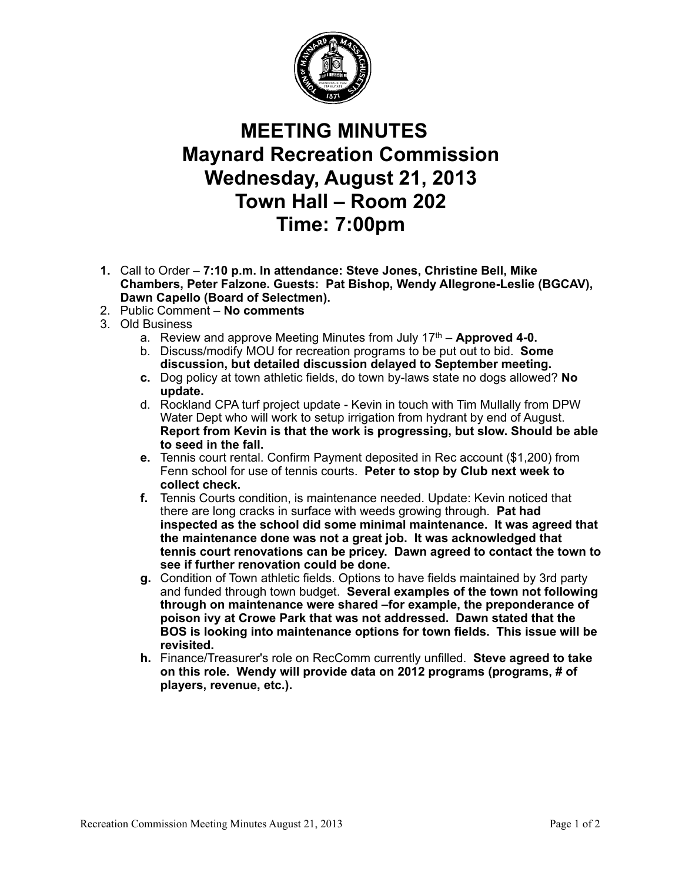

## **MEETING MINUTES Maynard Recreation Commission Wednesday, August 21, 2013 Town Hall – Room 202 Time: 7:00pm**

- **1.** Call to Order **7:10 p.m. In attendance: Steve Jones, Christine Bell, Mike Chambers, Peter Falzone. Guests: Pat Bishop, Wendy Allegrone-Leslie (BGCAV), Dawn Capello (Board of Selectmen).**
- 2. Public Comment **No comments**
- 3. Old Business
	- a. Review and approve Meeting Minutes from July 17th **Approved 4-0.**
	- b. Discuss/modify MOU for recreation programs to be put out to bid. **Some discussion, but detailed discussion delayed to September meeting.**
	- **c.** Dog policy at town athletic fields, do town by-laws state no dogs allowed? **No update.**
	- d. Rockland CPA turf project update Kevin in touch with Tim Mullally from DPW Water Dept who will work to setup irrigation from hydrant by end of August. **Report from Kevin is that the work is progressing, but slow. Should be able to seed in the fall.**
	- **e.** Tennis court rental. Confirm Payment deposited in Rec account (\$1,200) from Fenn school for use of tennis courts. **Peter to stop by Club next week to collect check.**
	- **f.** Tennis Courts condition, is maintenance needed. Update: Kevin noticed that there are long cracks in surface with weeds growing through. **Pat had inspected as the school did some minimal maintenance. It was agreed that the maintenance done was not a great job. It was acknowledged that tennis court renovations can be pricey. Dawn agreed to contact the town to see if further renovation could be done.**
	- **g.** Condition of Town athletic fields. Options to have fields maintained by 3rd party and funded through town budget. **Several examples of the town not following through on maintenance were shared –for example, the preponderance of poison ivy at Crowe Park that was not addressed. Dawn stated that the BOS is looking into maintenance options for town fields. This issue will be revisited.**
	- **h.** Finance/Treasurer's role on RecComm currently unfilled. **Steve agreed to take on this role. Wendy will provide data on 2012 programs (programs, # of players, revenue, etc.).**